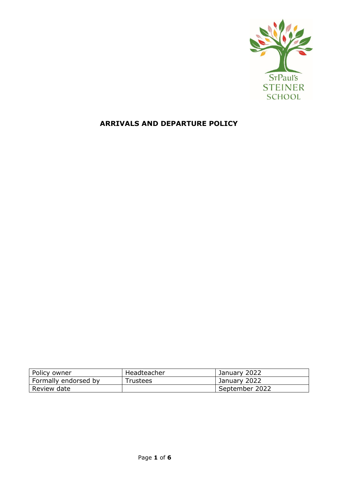

# **ARRIVALS AND DEPARTURE POLICY**

| Policy owner         | Headteacher | January 2022   |
|----------------------|-------------|----------------|
| Formally endorsed by | Trustees    | January 2022   |
| Review date          |             | September 2022 |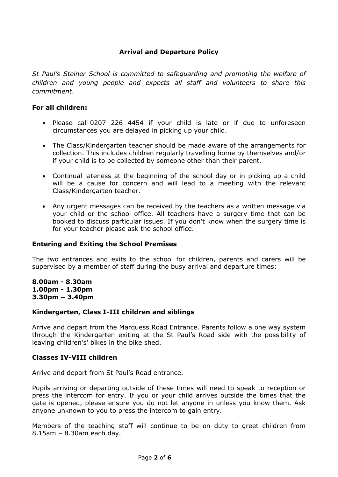# **Arrival and Departure Policy**

*St Paul's Steiner School is committed to safeguarding and promoting the welfare of children and young people and expects all staff and volunteers to share this commitment*.

#### **For all children:**

- Please call 0207 226 4454 if your child is late or if due to unforeseen circumstances you are delayed in picking up your child.
- The Class/Kindergarten teacher should be made aware of the arrangements for collection. This includes children regularly travelling home by themselves and/or if your child is to be collected by someone other than their parent.
- Continual lateness at the beginning of the school day or in picking up a child will be a cause for concern and will lead to a meeting with the relevant Class/Kindergarten teacher.
- Any urgent messages can be received by the teachers as a written message via your child or the school office. All teachers have a surgery time that can be booked to discuss particular issues. If you don't know when the surgery time is for your teacher please ask the school office.

#### **Entering and Exiting the School Premises**

The two entrances and exits to the school for children, parents and carers will be supervised by a member of staff during the busy arrival and departure times:

**8.00am - 8.30am 1.00pm - 1.30pm 3.30pm – 3.40pm**

#### **Kindergarten, Class I-III children and siblings**

Arrive and depart from the Marquess Road Entrance. Parents follow a one way system through the Kindergarten exiting at the St Paul's Road side with the possibility of leaving children's' bikes in the bike shed.

#### **Classes IV-VIII children**

Arrive and depart from St Paul's Road entrance.

Pupils arriving or departing outside of these times will need to speak to reception or press the intercom for entry. If you or your child arrives outside the times that the gate is opened, please ensure you do not let anyone in unless you know them. Ask anyone unknown to you to press the intercom to gain entry.

Members of the teaching staff will continue to be on duty to greet children from 8.15am – 8.30am each day.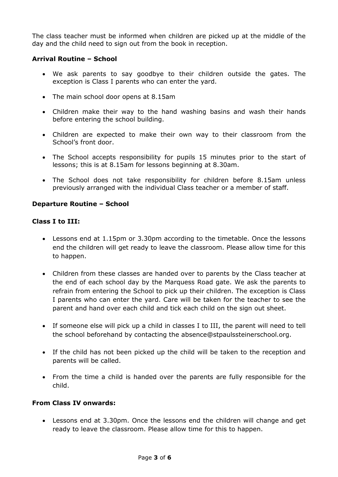The class teacher must be informed when children are picked up at the middle of the day and the child need to sign out from the book in reception.

## **Arrival Routine – School**

- We ask parents to say goodbye to their children outside the gates. The exception is Class I parents who can enter the yard.
- The main school door opens at 8.15am
- Children make their way to the hand washing basins and wash their hands before entering the school building.
- Children are expected to make their own way to their classroom from the School's front door.
- The School accepts responsibility for pupils 15 minutes prior to the start of lessons; this is at 8.15am for lessons beginning at 8.30am.
- The School does not take responsibility for children before 8.15am unless previously arranged with the individual Class teacher or a member of staff.

# **Departure Routine – School**

### **Class I to III:**

- Lessons end at 1.15pm or 3.30pm according to the timetable. Once the lessons end the children will get ready to leave the classroom. Please allow time for this to happen.
- Children from these classes are handed over to parents by the Class teacher at the end of each school day by the Marquess Road gate. We ask the parents to refrain from entering the School to pick up their children. The exception is Class I parents who can enter the yard. Care will be taken for the teacher to see the parent and hand over each child and tick each child on the sign out sheet.
- If someone else will pick up a child in classes I to III, the parent will need to tell the school beforehand by contacting the absence@stpaulssteinerschool.org.
- If the child has not been picked up the child will be taken to the reception and parents will be called.
- From the time a child is handed over the parents are fully responsible for the child.

### **From Class IV onwards:**

 Lessons end at 3.30pm. Once the lessons end the children will change and get ready to leave the classroom. Please allow time for this to happen.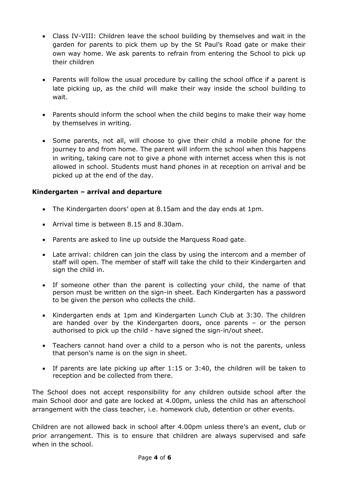- Class IV-VIII: Children leave the school building by themselves and wait in the garden for parents to pick them up by the St Paul's Road gate or make their own way home. We ask parents to refrain from entering the School to pick up their children
- Parents will follow the usual procedure by calling the school office if a parent is late picking up, as the child will make their way inside the school building to wait.
- Parents should inform the school when the child begins to make their way home by themselves in writing.
- Some parents, not all, will choose to give their child a mobile phone for the journey to and from home. The parent will inform the school when this happens in writing, taking care not to give a phone with internet access when this is not allowed in school. Students must hand phones in at reception on arrival and be picked up at the end of the day.

# **Kindergarten – arrival and departure**

- The Kindergarten doors' open at 8.15am and the day ends at 1pm.
- Arrival time is between 8.15 and 8.30am.
- Parents are asked to line up outside the Marquess Road gate.
- Late arrival: children can join the class by using the intercom and a member of staff will open. The member of staff will take the child to their Kindergarten and sign the child in.
- If someone other than the parent is collecting your child, the name of that person must be written on the sign-in sheet. Each Kindergarten has a password to be given the person who collects the child.
- Kindergarten ends at 1pm and Kindergarten Lunch Club at 3:30. The children are handed over by the Kindergarten doors, once parents – or the person authorised to pick up the child - have signed the sign-in/out sheet.
- Teachers cannot hand over a child to a person who is not the parents, unless that person's name is on the sign in sheet.
- If parents are late picking up after 1:15 or 3:40, the children will be taken to reception and be collected from there.

The School does not accept responsibility for any children outside school after the main School door and gate are locked at 4.00pm, unless the child has an afterschool arrangement with the class teacher, i.e. homework club, detention or other events.

Children are not allowed back in school after 4.00pm unless there's an event, club or prior arrangement. This is to ensure that children are always supervised and safe when in the school.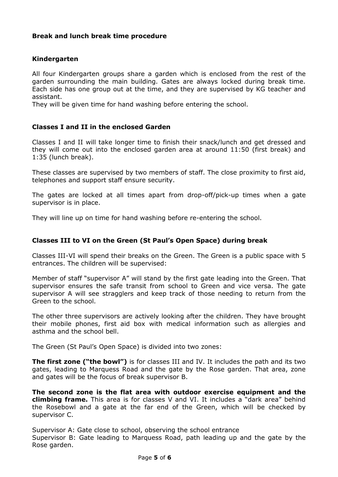# **Break and lunch break time procedure**

### **Kindergarten**

All four Kindergarten groups share a garden which is enclosed from the rest of the garden surrounding the main building. Gates are always locked during break time. Each side has one group out at the time, and they are supervised by KG teacher and assistant.

They will be given time for hand washing before entering the school.

### **Classes I and II in the enclosed Garden**

Classes I and II will take longer time to finish their snack/lunch and get dressed and they will come out into the enclosed garden area at around 11:50 (first break) and 1:35 (lunch break).

These classes are supervised by two members of staff. The close proximity to first aid, telephones and support staff ensure security.

The gates are locked at all times apart from drop-off/pick-up times when a gate supervisor is in place.

They will line up on time for hand washing before re-entering the school.

### **Classes III to VI on the Green (St Paul's Open Space) during break**

Classes III-VI will spend their breaks on the Green. The Green is a public space with 5 entrances. The children will be supervised:

Member of staff "supervisor A" will stand by the first gate leading into the Green. That supervisor ensures the safe transit from school to Green and vice versa. The gate supervisor A will see stragglers and keep track of those needing to return from the Green to the school.

The other three supervisors are actively looking after the children. They have brought their mobile phones, first aid box with medical information such as allergies and asthma and the school bell.

The Green (St Paul's Open Space) is divided into two zones:

**The first zone ("the bowl")** is for classes III and IV. It includes the path and its two gates, leading to Marquess Road and the gate by the Rose garden. That area, zone and gates will be the focus of break supervisor B.

**The second zone is the flat area with outdoor exercise equipment and the climbing frame.** This area is for classes V and VI. It includes a "dark area" behind the Rosebowl and a gate at the far end of the Green, which will be checked by supervisor C.

Supervisor A: Gate close to school, observing the school entrance Supervisor B: Gate leading to Marquess Road, path leading up and the gate by the Rose garden.